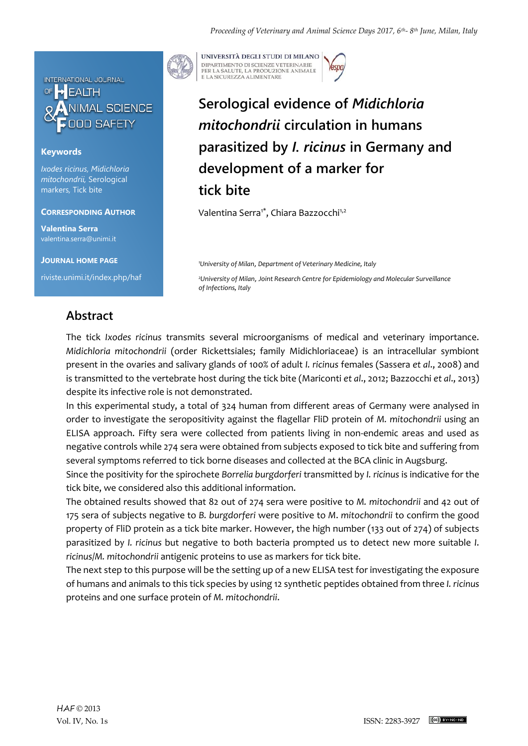

#### **Keywords**

*Ixodes ricinus, Midichloria mitochondrii,* Serological markers*,* Tick bite

### **CORRESPONDING AUTHOR**

**Valentina Serra** valentina.serra@unimi.it

**JOURNAL HOME PAGE**

riviste.unimi.it/index.php/haf



UNIVERSITÀ DEGLI STUDI DI MILANO DIPARTIMENTO DI SCIENZE VETERINARIE PER LA SALUTE, LA PRODUZIONE ANIMALE<br>E LA SICUREZZA ALIMENTARE

# **Serological evidence of** *Midichloria mitochondrii* **circulation in humans parasitized by** *I. ricinus* **in Germany and development of a marker for tick bite**

Valentina Serra<sup>1\*</sup>, Chiara Bazzocchi<sup>1,2</sup>

*<sup>1</sup>University of Milan*, *Department of Veterinary Medicine, Italy*

*<sup>2</sup>University of Milan*, *Joint Research Centre for Epidemiology and Molecular Surveillance of Infections, Italy*

### **Abstract**

The tick *Ixodes ricinus* transmits several microorganisms of medical and veterinary importance. *Midichloria mitochondrii* (order Rickettsiales; family Midichloriaceae) is an intracellular symbiont present in the ovaries and salivary glands of 100% of adult *I. ricinus* females (Sassera *et al*., 2008) and is transmitted to the vertebrate host during the tick bite (Mariconti *et al*., 2012; Bazzocchi *et al*., 2013) despite its infective role is not demonstrated.

In this experimental study, a total of 324 human from different areas of Germany were analysed in order to investigate the seropositivity against the flagellar FliD protein of *M. mitochondrii* using an ELISA approach. Fifty sera were collected from patients living in non-endemic areas and used as negative controls while 274 sera were obtained from subjects exposed to tick bite and suffering from several symptoms referred to tick borne diseases and collected at the BCA clinic in Augsburg.

Since the positivity for the spirochete *Borrelia burgdorferi* transmitted by *I. ricinus* is indicative for the tick bite, we considered also this additional information.

The obtained results showed that 82 out of 274 sera were positive to *M. mitochondrii* and 42 out of 175 sera of subjects negative to *B. burgdorferi* were positive to *M*. *mitochondrii* to confirm the good property of FliD protein as a tick bite marker. However, the high number (133 out of 274) of subjects parasitized by *I. ricinus* but negative to both bacteria prompted us to detect new more suitable *I*. *ricinus*/*M. mitochondrii* antigenic proteins to use as markers for tick bite.

The next step to this purpose will be the setting up of a new ELISA test for investigating the exposure of humans and animals to this tick species by using 12 synthetic peptides obtained from three *I. ricinus* proteins and one surface protein of *M. mitochondrii*.